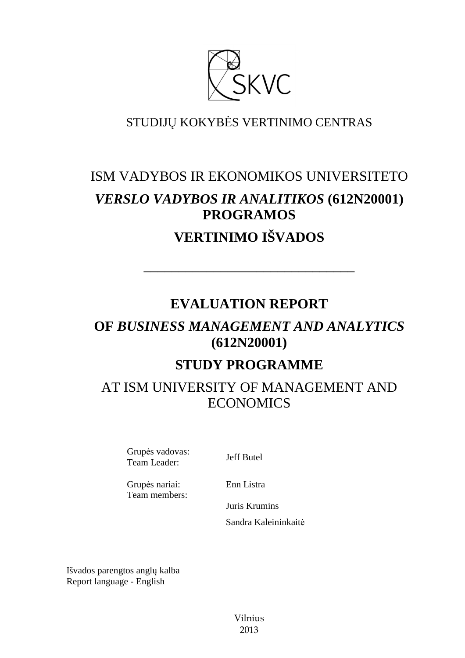

# STUDIJŲ KOKYBĖS VERTINIMO CENTRAS

# ISM VADYBOS IR EKONOMIKOS UNIVERSITETO *VERSLO VADYBOS IR ANALITIKOS* **(612N20001) PROGRAMOS VERTINIMO IŠVADOS**

# **EVALUATION REPORT**

––––––––––––––––––––––––––––––

# **OF** *BUSINESS MANAGEMENT AND ANALYTICS* **(612N20001)**

# **STUDY PROGRAMME**

# AT ISM UNIVERSITY OF MANAGEMENT AND ECONOMICS

Grupės vadovas: Grupes vadovas.<br>Team Leader: Jeff Butel

Grupės nariai: Team members: Enn Listra

Juris Krumins Sandra Kaleininkaitė

Išvados parengtos anglų kalba Report language - English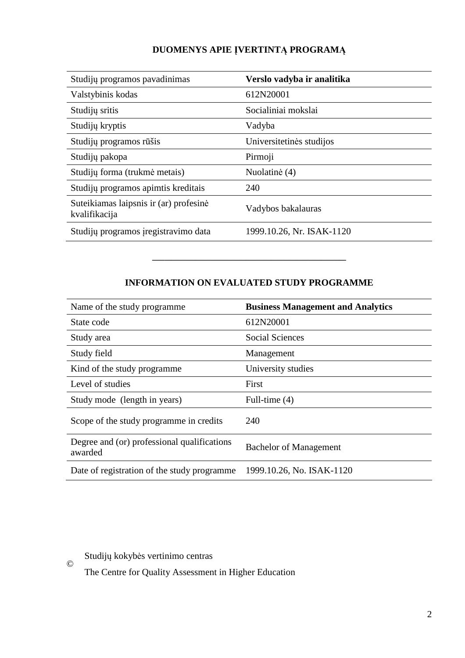# **DUOMENYS APIE ĮVERTINTĄ PROGRAMĄ**

| Studijų programos pavadinimas                           | Verslo vadyba ir analitika |
|---------------------------------------------------------|----------------------------|
| Valstybinis kodas                                       | 612N20001                  |
| Studijų sritis                                          | Socialiniai mokslai        |
| Studijų kryptis                                         | Vadyba                     |
| Studijų programos rūšis                                 | Universitetinės studijos   |
| Studijų pakopa                                          | Pirmoji                    |
| Studijų forma (trukmė metais)                           | Nuolatinė (4)              |
| Studijų programos apimtis kreditais                     | 240                        |
| Suteikiamas laipsnis ir (ar) profesinė<br>kvalifikacija | Vadybos bakalauras         |
| Studijų programos įregistravimo data                    | 1999.10.26, Nr. ISAK-1120  |

# **INFORMATION ON EVALUATED STUDY PROGRAMME**

–––––––––––––––––––––––––––––––

| Name of the study programme.                           | <b>Business Management and Analytics</b> |
|--------------------------------------------------------|------------------------------------------|
| State code                                             | 612N20001                                |
| Study area                                             | Social Sciences                          |
| Study field                                            | Management                               |
| Kind of the study programme                            | University studies                       |
| Level of studies                                       | First                                    |
| Study mode (length in years)                           | Full-time (4)                            |
| Scope of the study programme in credits                | 240                                      |
| Degree and (or) professional qualifications<br>awarded | <b>Bachelor of Management</b>            |
| Date of registration of the study programme            | 1999.10.26, No. ISAK-1120                |

Studijų kokybės vertinimo centras

©

The Centre for Quality Assessment in Higher Education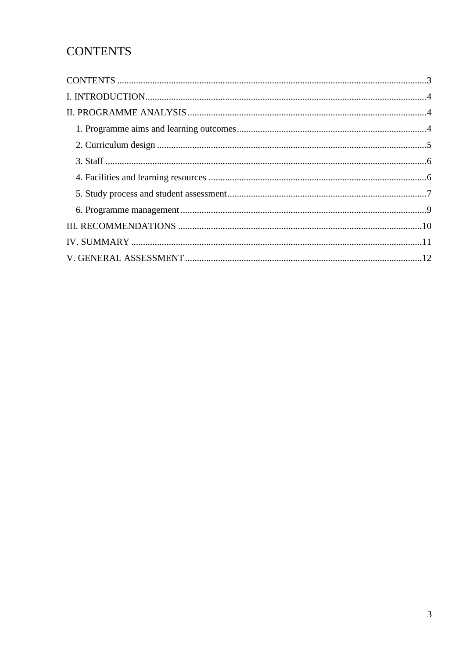# **CONTENTS**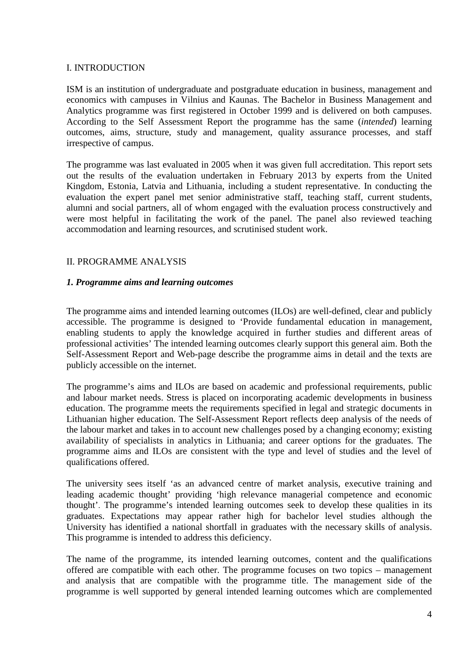### I. INTRODUCTION

ISM is an institution of undergraduate and postgraduate education in business, management and economics with campuses in Vilnius and Kaunas. The Bachelor in Business Management and Analytics programme was first registered in October 1999 and is delivered on both campuses. According to the Self Assessment Report the programme has the same (*intended*) learning outcomes, aims, structure, study and management, quality assurance processes, and staff irrespective of campus.

The programme was last evaluated in 2005 when it was given full accreditation. This report sets out the results of the evaluation undertaken in February 2013 by experts from the United Kingdom, Estonia, Latvia and Lithuania, including a student representative. In conducting the evaluation the expert panel met senior administrative staff, teaching staff, current students, alumni and social partners, all of whom engaged with the evaluation process constructively and were most helpful in facilitating the work of the panel. The panel also reviewed teaching accommodation and learning resources, and scrutinised student work.

### II. PROGRAMME ANALYSIS

### *1. Programme aims and learning outcomes*

The programme aims and intended learning outcomes (ILOs) are well-defined, clear and publicly accessible. The programme is designed to 'Provide fundamental education in management, enabling students to apply the knowledge acquired in further studies and different areas of professional activities' The intended learning outcomes clearly support this general aim. Both the Self-Assessment Report and Web-page describe the programme aims in detail and the texts are publicly accessible on the internet.

The programme's aims and ILOs are based on academic and professional requirements, public and labour market needs. Stress is placed on incorporating academic developments in business education. The programme meets the requirements specified in legal and strategic documents in Lithuanian higher education. The Self-Assessment Report reflects deep analysis of the needs of the labour market and takes in to account new challenges posed by a changing economy; existing availability of specialists in analytics in Lithuania; and career options for the graduates. The programme aims and ILOs are consistent with the type and level of studies and the level of qualifications offered.

The university sees itself 'as an advanced centre of market analysis, executive training and leading academic thought' providing 'high relevance managerial competence and economic thought'. The programme's intended learning outcomes seek to develop these qualities in its graduates. Expectations may appear rather high for bachelor level studies although the University has identified a national shortfall in graduates with the necessary skills of analysis. This programme is intended to address this deficiency.

The name of the programme, its intended learning outcomes, content and the qualifications offered are compatible with each other. The programme focuses on two topics – management and analysis that are compatible with the programme title. The management side of the programme is well supported by general intended learning outcomes which are complemented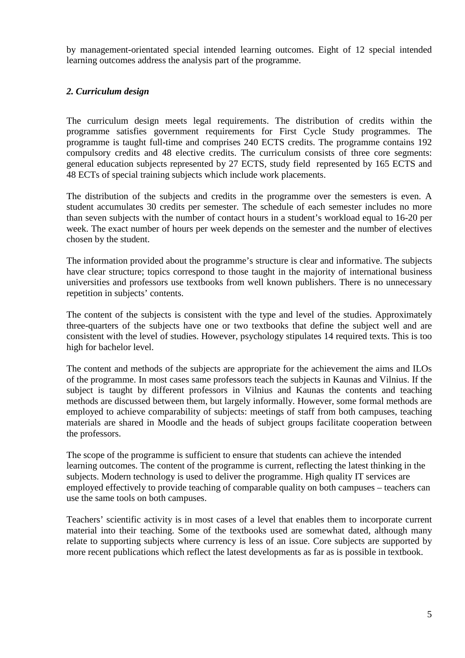by management-orientated special intended learning outcomes. Eight of 12 special intended learning outcomes address the analysis part of the programme.

## *2. Curriculum design*

The curriculum design meets legal requirements. The distribution of credits within the programme satisfies government requirements for First Cycle Study programmes. The programme is taught full-time and comprises 240 ECTS credits. The programme contains 192 compulsory credits and 48 elective credits. The curriculum consists of three core segments: general education subjects represented by 27 ECTS, study field represented by 165 ECTS and 48 ECTs of special training subjects which include work placements.

The distribution of the subjects and credits in the programme over the semesters is even. A student accumulates 30 credits per semester. The schedule of each semester includes no more than seven subjects with the number of contact hours in a student's workload equal to 16-20 per week. The exact number of hours per week depends on the semester and the number of electives chosen by the student.

The information provided about the programme's structure is clear and informative. The subjects have clear structure; topics correspond to those taught in the majority of international business universities and professors use textbooks from well known publishers. There is no unnecessary repetition in subjects' contents.

The content of the subjects is consistent with the type and level of the studies. Approximately three-quarters of the subjects have one or two textbooks that define the subject well and are consistent with the level of studies. However, psychology stipulates 14 required texts. This is too high for bachelor level.

The content and methods of the subjects are appropriate for the achievement the aims and ILOs of the programme. In most cases same professors teach the subjects in Kaunas and Vilnius. If the subject is taught by different professors in Vilnius and Kaunas the contents and teaching methods are discussed between them, but largely informally. However, some formal methods are employed to achieve comparability of subjects: meetings of staff from both campuses, teaching materials are shared in Moodle and the heads of subject groups facilitate cooperation between the professors.

The scope of the programme is sufficient to ensure that students can achieve the intended learning outcomes. The content of the programme is current, reflecting the latest thinking in the subjects. Modern technology is used to deliver the programme. High quality IT services are employed effectively to provide teaching of comparable quality on both campuses – teachers can use the same tools on both campuses.

Teachers' scientific activity is in most cases of a level that enables them to incorporate current material into their teaching. Some of the textbooks used are somewhat dated, although many relate to supporting subjects where currency is less of an issue. Core subjects are supported by more recent publications which reflect the latest developments as far as is possible in textbook.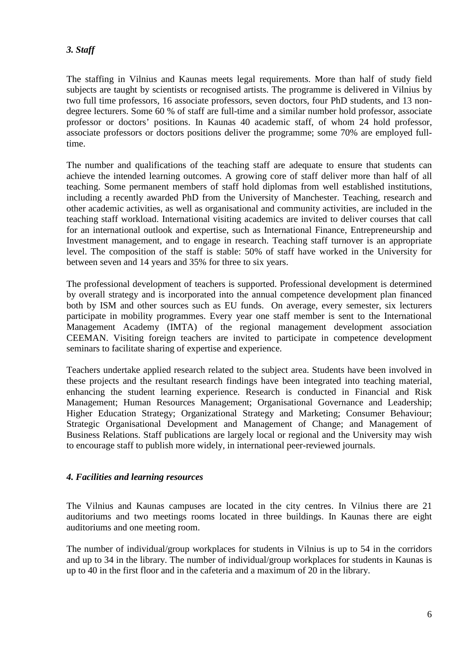# *3. Staff*

The staffing in Vilnius and Kaunas meets legal requirements. More than half of study field subjects are taught by scientists or recognised artists. The programme is delivered in Vilnius by two full time professors, 16 associate professors, seven doctors, four PhD students, and 13 nondegree lecturers. Some 60 % of staff are full-time and a similar number hold professor, associate professor or doctors' positions. In Kaunas 40 academic staff, of whom 24 hold professor, associate professors or doctors positions deliver the programme; some 70% are employed fulltime.

The number and qualifications of the teaching staff are adequate to ensure that students can achieve the intended learning outcomes. A growing core of staff deliver more than half of all teaching. Some permanent members of staff hold diplomas from well established institutions, including a recently awarded PhD from the University of Manchester. Teaching, research and other academic activities, as well as organisational and community activities, are included in the teaching staff workload. International visiting academics are invited to deliver courses that call for an international outlook and expertise, such as International Finance, Entrepreneurship and Investment management, and to engage in research. Teaching staff turnover is an appropriate level. The composition of the staff is stable: 50% of staff have worked in the University for between seven and 14 years and 35% for three to six years.

The professional development of teachers is supported. Professional development is determined by overall strategy and is incorporated into the annual competence development plan financed both by ISM and other sources such as EU funds. On average, every semester, six lecturers participate in mobility programmes. Every year one staff member is sent to the International Management Academy (IMTA) of the regional management development association CEEMAN. Visiting foreign teachers are invited to participate in competence development seminars to facilitate sharing of expertise and experience.

Teachers undertake applied research related to the subject area. Students have been involved in these projects and the resultant research findings have been integrated into teaching material, enhancing the student learning experience. Research is conducted in Financial and Risk Management; Human Resources Management; Organisational Governance and Leadership; Higher Education Strategy; Organizational Strategy and Marketing; Consumer Behaviour; Strategic Organisational Development and Management of Change; and Management of Business Relations. Staff publications are largely local or regional and the University may wish to encourage staff to publish more widely, in international peer-reviewed journals.

### *4. Facilities and learning resources*

The Vilnius and Kaunas campuses are located in the city centres. In Vilnius there are 21 auditoriums and two meetings rooms located in three buildings. In Kaunas there are eight auditoriums and one meeting room.

The number of individual/group workplaces for students in Vilnius is up to 54 in the corridors and up to 34 in the library. The number of individual/group workplaces for students in Kaunas is up to 40 in the first floor and in the cafeteria and a maximum of 20 in the library.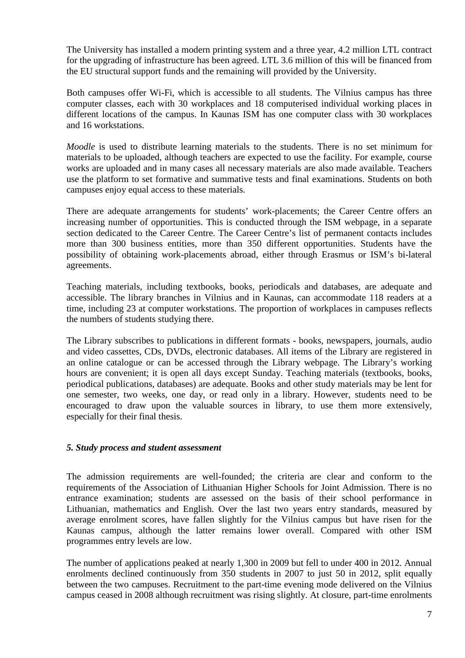The University has installed a modern printing system and a three year, 4.2 million LTL contract for the upgrading of infrastructure has been agreed. LTL 3.6 million of this will be financed from the EU structural support funds and the remaining will provided by the University.

Both campuses offer Wi-Fi, which is accessible to all students. The Vilnius campus has three computer classes, each with 30 workplaces and 18 computerised individual working places in different locations of the campus. In Kaunas ISM has one computer class with 30 workplaces and 16 workstations.

*Moodle* is used to distribute learning materials to the students. There is no set minimum for materials to be uploaded, although teachers are expected to use the facility. For example, course works are uploaded and in many cases all necessary materials are also made available. Teachers use the platform to set formative and summative tests and final examinations. Students on both campuses enjoy equal access to these materials.

There are adequate arrangements for students' work-placements; the Career Centre offers an increasing number of opportunities. This is conducted through the ISM webpage, in a separate section dedicated to the Career Centre. The Career Centre's list of permanent contacts includes more than 300 business entities, more than 350 different opportunities. Students have the possibility of obtaining work-placements abroad, either through Erasmus or ISM's bi-lateral agreements.

Teaching materials, including textbooks, books, periodicals and databases, are adequate and accessible. The library branches in Vilnius and in Kaunas, can accommodate 118 readers at a time, including 23 at computer workstations. The proportion of workplaces in campuses reflects the numbers of students studying there.

The Library subscribes to publications in different formats - books, newspapers, journals, audio and video cassettes, CDs, DVDs, electronic databases. All items of the Library are registered in an online catalogue or can be accessed through the Library webpage. The Library's working hours are convenient; it is open all days except Sunday. Teaching materials (textbooks, books, periodical publications, databases) are adequate. Books and other study materials may be lent for one semester, two weeks, one day, or read only in a library. However, students need to be encouraged to draw upon the valuable sources in library, to use them more extensively, especially for their final thesis.

#### *5. Study process and student assessment*

The admission requirements are well-founded; the criteria are clear and conform to the requirements of the Association of Lithuanian Higher Schools for Joint Admission. There is no entrance examination; students are assessed on the basis of their school performance in Lithuanian, mathematics and English. Over the last two years entry standards, measured by average enrolment scores, have fallen slightly for the Vilnius campus but have risen for the Kaunas campus, although the latter remains lower overall. Compared with other ISM programmes entry levels are low.

The number of applications peaked at nearly 1,300 in 2009 but fell to under 400 in 2012. Annual enrolments declined continuously from 350 students in 2007 to just 50 in 2012, split equally between the two campuses. Recruitment to the part-time evening mode delivered on the Vilnius campus ceased in 2008 although recruitment was rising slightly. At closure, part-time enrolments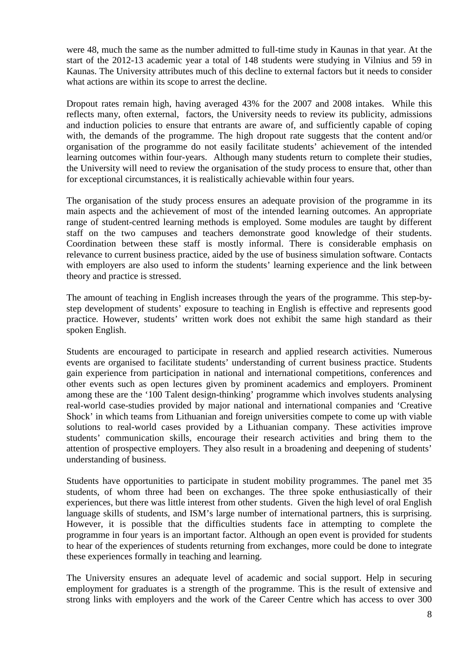were 48, much the same as the number admitted to full-time study in Kaunas in that year. At the start of the 2012-13 academic year a total of 148 students were studying in Vilnius and 59 in Kaunas. The University attributes much of this decline to external factors but it needs to consider what actions are within its scope to arrest the decline.

Dropout rates remain high, having averaged 43% for the 2007 and 2008 intakes. While this reflects many, often external, factors, the University needs to review its publicity, admissions and induction policies to ensure that entrants are aware of, and sufficiently capable of coping with, the demands of the programme. The high dropout rate suggests that the content and/or organisation of the programme do not easily facilitate students' achievement of the intended learning outcomes within four-years. Although many students return to complete their studies, the University will need to review the organisation of the study process to ensure that, other than for exceptional circumstances, it is realistically achievable within four years.

The organisation of the study process ensures an adequate provision of the programme in its main aspects and the achievement of most of the intended learning outcomes. An appropriate range of student-centred learning methods is employed. Some modules are taught by different staff on the two campuses and teachers demonstrate good knowledge of their students. Coordination between these staff is mostly informal. There is considerable emphasis on relevance to current business practice, aided by the use of business simulation software. Contacts with employers are also used to inform the students' learning experience and the link between theory and practice is stressed.

The amount of teaching in English increases through the years of the programme. This step-bystep development of students' exposure to teaching in English is effective and represents good practice. However, students' written work does not exhibit the same high standard as their spoken English.

Students are encouraged to participate in research and applied research activities. Numerous events are organised to facilitate students' understanding of current business practice. Students gain experience from participation in national and international competitions, conferences and other events such as open lectures given by prominent academics and employers. Prominent among these are the '100 Talent design-thinking' programme which involves students analysing real-world case-studies provided by major national and international companies and 'Creative Shock' in which teams from Lithuanian and foreign universities compete to come up with viable solutions to real-world cases provided by a Lithuanian company. These activities improve students' communication skills, encourage their research activities and bring them to the attention of prospective employers. They also result in a broadening and deepening of students' understanding of business.

Students have opportunities to participate in student mobility programmes. The panel met 35 students, of whom three had been on exchanges. The three spoke enthusiastically of their experiences, but there was little interest from other students. Given the high level of oral English language skills of students, and ISM's large number of international partners, this is surprising. However, it is possible that the difficulties students face in attempting to complete the programme in four years is an important factor. Although an open event is provided for students to hear of the experiences of students returning from exchanges, more could be done to integrate these experiences formally in teaching and learning.

The University ensures an adequate level of academic and social support. Help in securing employment for graduates is a strength of the programme. This is the result of extensive and strong links with employers and the work of the Career Centre which has access to over 300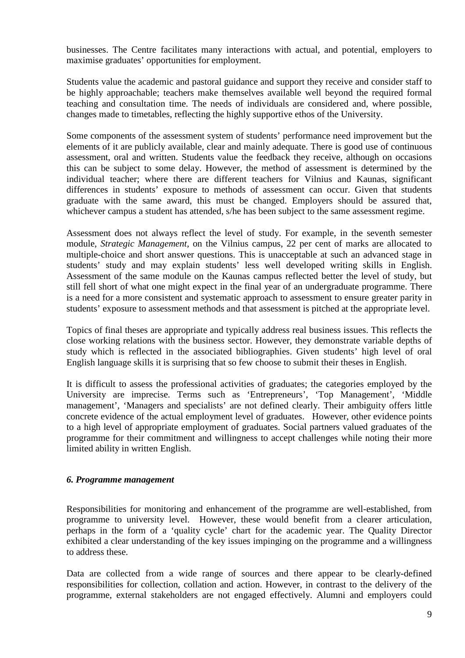businesses. The Centre facilitates many interactions with actual, and potential, employers to maximise graduates' opportunities for employment.

Students value the academic and pastoral guidance and support they receive and consider staff to be highly approachable; teachers make themselves available well beyond the required formal teaching and consultation time. The needs of individuals are considered and, where possible, changes made to timetables, reflecting the highly supportive ethos of the University.

Some components of the assessment system of students' performance need improvement but the elements of it are publicly available, clear and mainly adequate. There is good use of continuous assessment, oral and written. Students value the feedback they receive, although on occasions this can be subject to some delay. However, the method of assessment is determined by the individual teacher; where there are different teachers for Vilnius and Kaunas, significant differences in students' exposure to methods of assessment can occur. Given that students graduate with the same award, this must be changed. Employers should be assured that, whichever campus a student has attended, s/he has been subject to the same assessment regime.

Assessment does not always reflect the level of study. For example, in the seventh semester module, *Strategic Management,* on the Vilnius campus, 22 per cent of marks are allocated to multiple-choice and short answer questions. This is unacceptable at such an advanced stage in students' study and may explain students' less well developed writing skills in English. Assessment of the same module on the Kaunas campus reflected better the level of study, but still fell short of what one might expect in the final year of an undergraduate programme. There is a need for a more consistent and systematic approach to assessment to ensure greater parity in students' exposure to assessment methods and that assessment is pitched at the appropriate level.

Topics of final theses are appropriate and typically address real business issues. This reflects the close working relations with the business sector. However, they demonstrate variable depths of study which is reflected in the associated bibliographies. Given students' high level of oral English language skills it is surprising that so few choose to submit their theses in English.

It is difficult to assess the professional activities of graduates; the categories employed by the University are imprecise. Terms such as 'Entrepreneurs', 'Top Management', 'Middle management', 'Managers and specialists' are not defined clearly. Their ambiguity offers little concrete evidence of the actual employment level of graduates. However, other evidence points to a high level of appropriate employment of graduates. Social partners valued graduates of the programme for their commitment and willingness to accept challenges while noting their more limited ability in written English.

### *6. Programme management*

Responsibilities for monitoring and enhancement of the programme are well-established, from programme to university level. However, these would benefit from a clearer articulation, perhaps in the form of a 'quality cycle' chart for the academic year. The Quality Director exhibited a clear understanding of the key issues impinging on the programme and a willingness to address these.

Data are collected from a wide range of sources and there appear to be clearly-defined responsibilities for collection, collation and action. However, in contrast to the delivery of the programme, external stakeholders are not engaged effectively. Alumni and employers could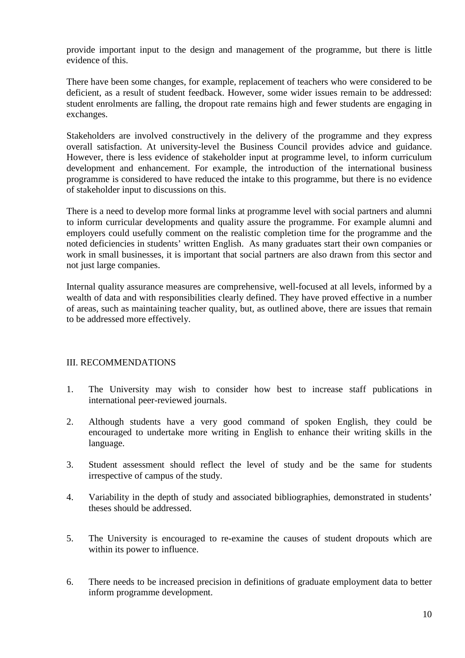provide important input to the design and management of the programme, but there is little evidence of this.

There have been some changes, for example, replacement of teachers who were considered to be deficient, as a result of student feedback. However, some wider issues remain to be addressed: student enrolments are falling, the dropout rate remains high and fewer students are engaging in exchanges.

Stakeholders are involved constructively in the delivery of the programme and they express overall satisfaction. At university-level the Business Council provides advice and guidance. However, there is less evidence of stakeholder input at programme level, to inform curriculum development and enhancement. For example, the introduction of the international business programme is considered to have reduced the intake to this programme, but there is no evidence of stakeholder input to discussions on this.

There is a need to develop more formal links at programme level with social partners and alumni to inform curricular developments and quality assure the programme. For example alumni and employers could usefully comment on the realistic completion time for the programme and the noted deficiencies in students' written English. As many graduates start their own companies or work in small businesses, it is important that social partners are also drawn from this sector and not just large companies.

Internal quality assurance measures are comprehensive, well-focused at all levels, informed by a wealth of data and with responsibilities clearly defined. They have proved effective in a number of areas, such as maintaining teacher quality, but, as outlined above, there are issues that remain to be addressed more effectively.

### III. RECOMMENDATIONS

- 1. The University may wish to consider how best to increase staff publications in international peer-reviewed journals.
- 2. Although students have a very good command of spoken English, they could be encouraged to undertake more writing in English to enhance their writing skills in the language.
- 3. Student assessment should reflect the level of study and be the same for students irrespective of campus of the study.
- 4. Variability in the depth of study and associated bibliographies, demonstrated in students' theses should be addressed.
- 5. The University is encouraged to re-examine the causes of student dropouts which are within its power to influence.
- 6. There needs to be increased precision in definitions of graduate employment data to better inform programme development.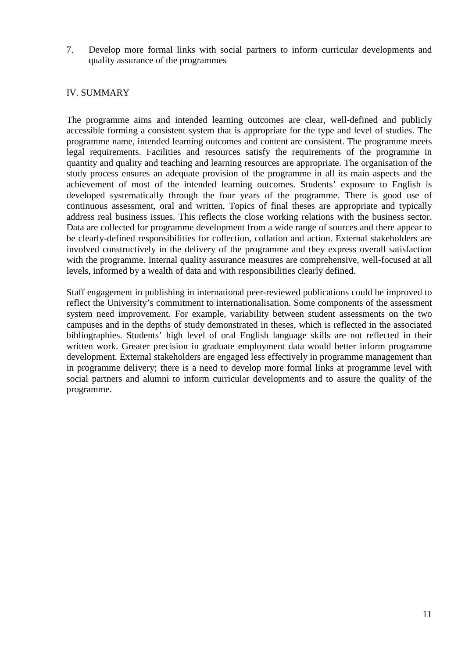7. Develop more formal links with social partners to inform curricular developments and quality assurance of the programmes

### IV. SUMMARY

The programme aims and intended learning outcomes are clear, well-defined and publicly accessible forming a consistent system that is appropriate for the type and level of studies. The programme name, intended learning outcomes and content are consistent. The programme meets legal requirements. Facilities and resources satisfy the requirements of the programme in quantity and quality and teaching and learning resources are appropriate. The organisation of the study process ensures an adequate provision of the programme in all its main aspects and the achievement of most of the intended learning outcomes. Students' exposure to English is developed systematically through the four years of the programme. There is good use of continuous assessment, oral and written. Topics of final theses are appropriate and typically address real business issues. This reflects the close working relations with the business sector. Data are collected for programme development from a wide range of sources and there appear to be clearly-defined responsibilities for collection, collation and action. External stakeholders are involved constructively in the delivery of the programme and they express overall satisfaction with the programme. Internal quality assurance measures are comprehensive, well-focused at all levels, informed by a wealth of data and with responsibilities clearly defined.

Staff engagement in publishing in international peer-reviewed publications could be improved to reflect the University's commitment to internationalisation. Some components of the assessment system need improvement. For example, variability between student assessments on the two campuses and in the depths of study demonstrated in theses, which is reflected in the associated bibliographies. Students' high level of oral English language skills are not reflected in their written work. Greater precision in graduate employment data would better inform programme development. External stakeholders are engaged less effectively in programme management than in programme delivery; there is a need to develop more formal links at programme level with social partners and alumni to inform curricular developments and to assure the quality of the programme.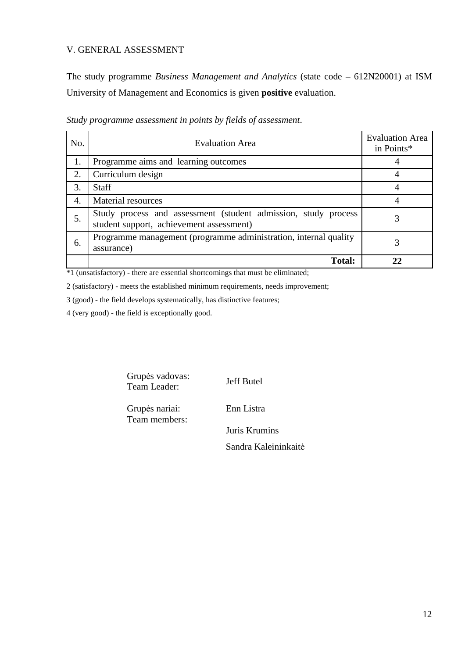### V. GENERAL ASSESSMENT

The study programme *Business Management and Analytics* (state code – 612N20001) at ISM University of Management and Economics is given **positive** evaluation.

| No. | <b>Evaluation Area</b>                                                                                     | <b>Evaluation Area</b><br>in Points* |
|-----|------------------------------------------------------------------------------------------------------------|--------------------------------------|
| 1.  | Programme aims and learning outcomes                                                                       |                                      |
| 2.  | Curriculum design                                                                                          |                                      |
| 3.  | <b>Staff</b>                                                                                               |                                      |
| 4.  | Material resources                                                                                         |                                      |
| 5.  | Study process and assessment (student admission, study process<br>student support, achievement assessment) |                                      |
| 6.  | Programme management (programme administration, internal quality<br>assurance)                             |                                      |
|     | <b>Total:</b>                                                                                              |                                      |

*Study programme assessment in points by fields of assessment*.

\*1 (unsatisfactory) - there are essential shortcomings that must be eliminated;

2 (satisfactory) - meets the established minimum requirements, needs improvement;

3 (good) - the field develops systematically, has distinctive features;

4 (very good) - the field is exceptionally good.

Grupės vadovas: Grupes vadovas:<br>Team Leader: Jeff Butel

Grupės nariai: Team members: Enn Listra

Juris Krumins

Sandra Kaleininkaitė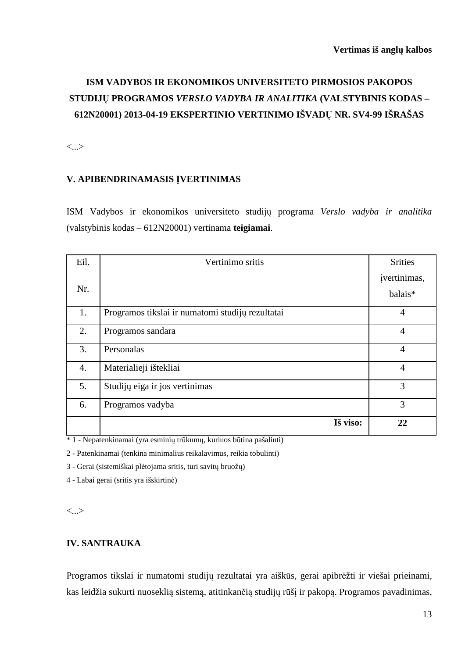# **ISM VADYBOS IR EKONOMIKOS UNIVERSITETO PIRMOSIOS PAKOPOS STUDIJŲ PROGRAMOS** *VERSLO VADYBA IR ANALITIKA* **(VALSTYBINIS KODAS – 612N20001) 2013-04-19 EKSPERTINIO VERTINIMO IŠVADŲ NR. SV4-99 IŠRAŠAS**

<...>

### **V. APIBENDRINAMASIS ĮVERTINIMAS**

ISM Vadybos ir ekonomikos universiteto studijų programa *Verslo vadyba ir analitika*  (valstybinis kodas – 612N20001) vertinama **teigiamai**.

| Eil.             | Vertinimo sritis                                 | <b>Srities</b>          |
|------------------|--------------------------------------------------|-------------------------|
| Nr.              |                                                  | įvertinimas,<br>balais* |
| 1.               | Programos tikslai ir numatomi studijų rezultatai | $\overline{4}$          |
| 2.               | Programos sandara                                | $\overline{4}$          |
| 3.               | Personalas                                       | $\overline{4}$          |
| $\overline{4}$ . | Materialieji ištekliai                           | $\overline{4}$          |
| 5.               | Studijų eiga ir jos vertinimas                   | 3                       |
| 6.               | Programos vadyba                                 | 3                       |
|                  | Iš viso:                                         | 22                      |

\* 1 - Nepatenkinamai (yra esminių trūkumų, kuriuos būtina pašalinti)

2 - Patenkinamai (tenkina minimalius reikalavimus, reikia tobulinti)

3 - Gerai (sistemiškai plėtojama sritis, turi savitų bruožų)

4 - Labai gerai (sritis yra išskirtinė)

<...>

## **IV. SANTRAUKA**

Programos tikslai ir numatomi studijų rezultatai yra aiškūs, gerai apibrėžti ir viešai prieinami, kas leidžia sukurti nuoseklią sistemą, atitinkančią studijų rūšį ir pakopą. Programos pavadinimas,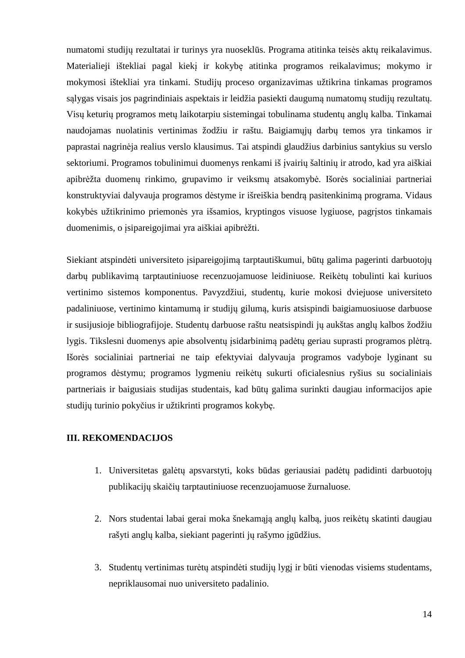numatomi studijų rezultatai ir turinys yra nuoseklūs. Programa atitinka teisės aktų reikalavimus. Materialieji ištekliai pagal kiekį ir kokybę atitinka programos reikalavimus; mokymo ir mokymosi ištekliai yra tinkami. Studijų proceso organizavimas užtikrina tinkamas programos sąlygas visais jos pagrindiniais aspektais ir leidžia pasiekti daugumą numatomų studijų rezultatų. Visų keturių programos metų laikotarpiu sistemingai tobulinama studentų anglų kalba. Tinkamai naudojamas nuolatinis vertinimas žodžiu ir raštu. Baigiamųjų darbų temos yra tinkamos ir paprastai nagrinėja realius verslo klausimus. Tai atspindi glaudžius darbinius santykius su verslo sektoriumi. Programos tobulinimui duomenys renkami iš įvairių šaltinių ir atrodo, kad yra aiškiai apibrėžta duomenų rinkimo, grupavimo ir veiksmų atsakomybė. Išorės socialiniai partneriai konstruktyviai dalyvauja programos dėstyme ir išreiškia bendrą pasitenkinimą programa. Vidaus kokybės užtikrinimo priemonės yra išsamios, kryptingos visuose lygiuose, pagrįstos tinkamais duomenimis, o įsipareigojimai yra aiškiai apibrėžti.

Siekiant atspindėti universiteto įsipareigojimą tarptautiškumui, būtų galima pagerinti darbuotojų darbų publikavimą tarptautiniuose recenzuojamuose leidiniuose. Reikėtų tobulinti kai kuriuos vertinimo sistemos komponentus. Pavyzdžiui, studentų, kurie mokosi dviejuose universiteto padaliniuose, vertinimo kintamumą ir studijų gilumą, kuris atsispindi baigiamuosiuose darbuose ir susijusioje bibliografijoje. Studentų darbuose raštu neatsispindi jų aukštas anglų kalbos žodžiu lygis. Tikslesni duomenys apie absolventų įsidarbinimą padėtų geriau suprasti programos plėtrą. Išorės socialiniai partneriai ne taip efektyviai dalyvauja programos vadyboje lyginant su programos dėstymu; programos lygmeniu reikėtų sukurti oficialesnius ryšius su socialiniais partneriais ir baigusiais studijas studentais, kad būtų galima surinkti daugiau informacijos apie studijų turinio pokyčius ir užtikrinti programos kokybę.

#### **III. REKOMENDACIJOS**

- 1. Universitetas galėtų apsvarstyti, koks būdas geriausiai padėtų padidinti darbuotojų publikacijų skaičių tarptautiniuose recenzuojamuose žurnaluose.
- 2. Nors studentai labai gerai moka šnekamąją anglų kalbą, juos reikėtų skatinti daugiau rašyti anglų kalba, siekiant pagerinti jų rašymo įgūdžius.
- 3. Studentų vertinimas turėtų atspindėti studijų lygį ir būti vienodas visiems studentams, nepriklausomai nuo universiteto padalinio.